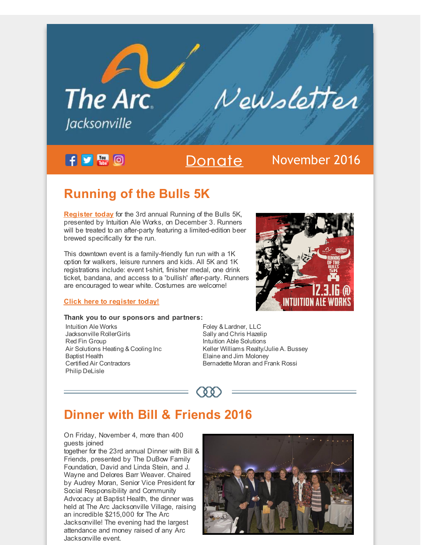# The Arc. Newsletter *lacksonville*

 $f \cup \mathbb{R}$  0

### [Donate](http://r20.rs6.net/tn.jsp?f=0015TEuEmUVZXvcaOC5sXcGziTn2EEAcfMeasd22gQn_VgivmOZOHYqys5Hw8GiNMpRxcM6zcFLB1ST4kbeXnhzWs130WTPBR0A8seSUtJSTZi13aUEcdwRmWK3L3F8Jcb2cxkKszmhlOwfOJfD82vIJSQYappAtZ1Mhk0xdS6R24NBgnvGq9cVxoy8xk1t3-Q9xvBNeFyJu9U5QrS0o0pzL0D-BAyI9ifnWHgzigku8tNd_7mGMHaO64C66mSoGx8ZacqIr05Tk6sbj7hEQ2tG9vPLbAZDZMEe4xrPUNMNgTGRq9AXPacyf6tQ9OUmGydRhkUb8V3nuqW4dNsIIRt2t6kOAa81DRi5&c=&ch=) November 2016

# **Running of the Bulls 5K**

**[Register](http://r20.rs6.net/tn.jsp?f=0015TEuEmUVZXvcaOC5sXcGziTn2EEAcfMeasd22gQn_VgivmOZOHYqygI1gL0WeKsAJ_76usjjhw1mnk_6SeqX6Y2iwS94VPFN0jrsOMTjmEotXuvy-Pt9ALNLBnSW1KqK5IGHA3pwUBMz8ikwm8glaOb3mNUBOFNR0KNLQyeeITehHk6hI4z7WNY8KcLLGBcDy-qkPQ7wTuW4vjXjU4rwVlD4UUyYTwB1PKNHbKoKGxSwsmQOxf9NM71jGQiitwuInSliY1zPbXv1kWaHF3ZTKS7bqpBtqjf4aE_GGeDfNN2zDBHg-Mzc1J_zqhwicl96SrQwO2y7Kz1htGyRBbnmeFqsAFGol4Fz&c=&ch=) today** for the 3rd annual Running of the Bulls 5K, presented by Intuition Ale Works, on December 3. Runners will be treated to an after-party featuring a limited-edition beer brewed specifically for the run.

This downtown event is a family-friendly fun run with a 1K option for walkers, leisure runners and kids. All 5K and 1K registrations include: event t-shirt, finisher medal, one drink ticket, bandana, and access to a 'bullish' after-party. Runners are encouraged to wear white. Costumes are welcome!

#### **Click here to [register](http://r20.rs6.net/tn.jsp?f=0015TEuEmUVZXvcaOC5sXcGziTn2EEAcfMeasd22gQn_VgivmOZOHYqygI1gL0WeKsAJ_76usjjhw1mnk_6SeqX6Y2iwS94VPFN0jrsOMTjmEotXuvy-Pt9ALNLBnSW1KqK5IGHA3pwUBMz8ikwm8glaOb3mNUBOFNR0KNLQyeeITehHk6hI4z7WNY8KcLLGBcDy-qkPQ7wTuW4vjXjU4rwVlD4UUyYTwB1PKNHbKoKGxSwsmQOxf9NM71jGQiitwuInSliY1zPbXv1kWaHF3ZTKS7bqpBtqjf4aE_GGeDfNN2zDBHg-Mzc1J_zqhwicl96SrQwO2y7Kz1htGyRBbnmeFqsAFGol4Fz&c=&ch=) today!**

#### **Thank you to our sponsors and partners:**

Intuition Ale Works Jacksonville RollerGirls Red Fin Group Air Solutions Heating & Cooling Inc Baptist Health Certified Air Contractors Philip DeLisle

Foley & Lardner, LLC Sally and Chris Hazelip Intuition Able Solutions Keller Williams Realty/Julie A. Bussey Elaine and Jim Moloney

Bernadette Moran and Frank Rossi

 $QQ$ 

## **Dinner with Bill & Friends 2016**

On Friday, November 4, more than 400 guests joined

together for the 23rd annual Dinner with Bill & Friends, presented by The DuBow Family Foundation, David and Linda Stein, and J. Wayne and Delores Barr Weaver. Chaired by Audrey Moran, Senior Vice President for Social Responsibility and Community Advocacy at Baptist Health, the dinner was held at The Arc Jacksonville Village, raising an incredible \$215,000 for The Arc Jacksonville! The evening had the largest attendance and money raised of any Arc Jacksonville event.



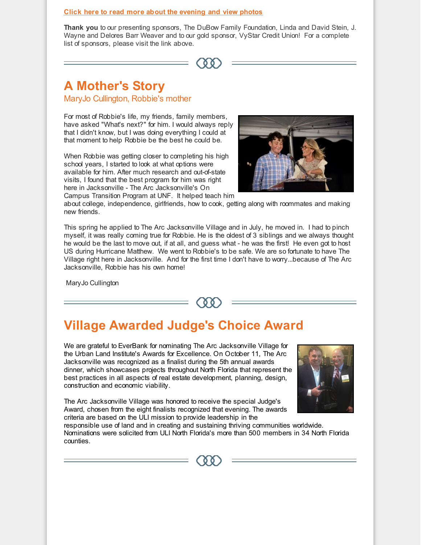#### **Click here to read more about the [evening](http://r20.rs6.net/tn.jsp?f=0015TEuEmUVZXvcaOC5sXcGziTn2EEAcfMeasd22gQn_VgivmOZOHYqygAXzmPOE0nckbTAYxuPuS_O1i7aP1jWWn7nan2HCTbV3FRfLVAOcvrbVqpRWbUUsF2fzsXH6WNlmvvF6ZAk9DisQU1khK77do4Tn6OlvnspeBXQwGuxSebmKwe4Yh5Mww_7RA0AHJnGQPZ18zWMhmfeZo3_undCzvJbAMjhPsxhDLkQwNhdcUQzmr04bdVe6mYORbDJW2v3IVQVSmvHkxcsoMTTfjQu9ifuBqauaRPjBp5K4vrCpim_0yHKUylwpX_0zNcYYR5jtbxAjFJr-Cda_CPc6VpQAworIDbZNCTV&c=&ch=) and view photos**

**Thank you** to our presenting sponsors, The DuBow Family Foundation, Linda and David Stein, J. Wayne and Delores Barr Weaver and to our gold sponsor, VyStar Credit Union! For a complete list of sponsors, please visit the link above.

## **A Mother's Story**

MaryJo Cullington, Robbie's mother

For most of Robbie's life, my friends, family members, have asked "What's next?" for him. I would always reply that I didn't know, but I was doing everything I could at that moment to help Robbie be the best he could be.

When Robbie was getting closer to completing his high school years, I started to look at what options were available for him. After much research and out-of-state visits, I found that the best program for him was right here in Jacksonville - The Arc Jacksonville's On Campus Transition Program at UNF. It helped teach him



about college, independence, girlfriends, how to cook, getting along with roommates and making new friends.

This spring he applied to The Arc Jacksonville Village and in July, he moved in. I had to pinch myself, it was really coming true for Robbie. He is the oldest of 3 siblings and we always thought he would be the last to move out, if at all, and guess what - he was the first! He even got to host US during Hurricane Matthew. We went to Robbie's to be safe. We are so fortunate to have The Village right here in Jacksonville. And for the first time I don't have to worry...because of The Arc Jacksonville, Robbie has his own home!

MaryJo Cullington

 $\Omega$ 

## **Village Awarded Judge's Choice Award**

We are grateful to EverBank for nominating The Arc Jacksonville Village for the Urban Land Institute's Awards for Excellence. On October 11, The Arc Jacksonville was recognized as a finalist during the 5th annual awards dinner, which showcases projects throughout North Florida that represent the best practices in all aspects of real estate development, planning, design, construction and economic viability.

The Arc Jacksonville Village was honored to receive the special Judge's Award, chosen from the eight finalists recognized that evening. The awards criteria are based on the ULI mission to provide leadership in the



responsible use of land and in creating and sustaining thriving communities worldwide. Nominations were solicited from ULI North Florida's more than 500 members in 34 North Florida counties.